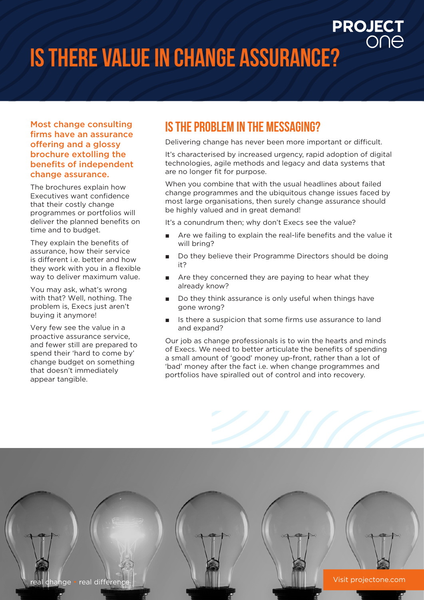## **Is there value in change assurance?**

#### Most change consulting firms have an assurance offering and a glossy brochure extolling the benefits of independent change assurance.

The brochures explain how Executives want confidence that their costly change programmes or portfolios will deliver the planned benefits on time and to budget.

They explain the benefits of assurance, how their service is different i.e. better and how they work with you in a flexible way to deliver maximum value.

You may ask, what's wrong with that? Well, nothing. The problem is, Execs just aren't buying it anymore!

Very few see the value in a proactive assurance service, and fewer still are prepared to spend their 'hard to come by' change budget on something that doesn't immediately appear tangible.

### **Is the problem in the messaging?**

Delivering change has never been more important or difficult.

**PROJECT** 

It's characterised by increased urgency, rapid adoption of digital technologies, agile methods and legacy and data systems that are no longer fit for purpose.

When you combine that with the usual headlines about failed change programmes and the ubiquitous change issues faced by most large organisations, then surely change assurance should be highly valued and in great demand!

It's a conundrum then; why don't Execs see the value?

- Are we failing to explain the real-life benefits and the value it will bring?
- Do they believe their Programme Directors should be doing it?
- Are they concerned they are paying to hear what they already know?
- Do they think assurance is only useful when things have gone wrong?
- Is there a suspicion that some firms use assurance to land and expand?

Our job as change professionals is to win the hearts and minds of Execs. We need to better articulate the benefits of spending a small amount of 'good' money up-front, rather than a lot of 'bad' money after the fact i.e. when change programmes and portfolios have spiralled out of control and into recovery.